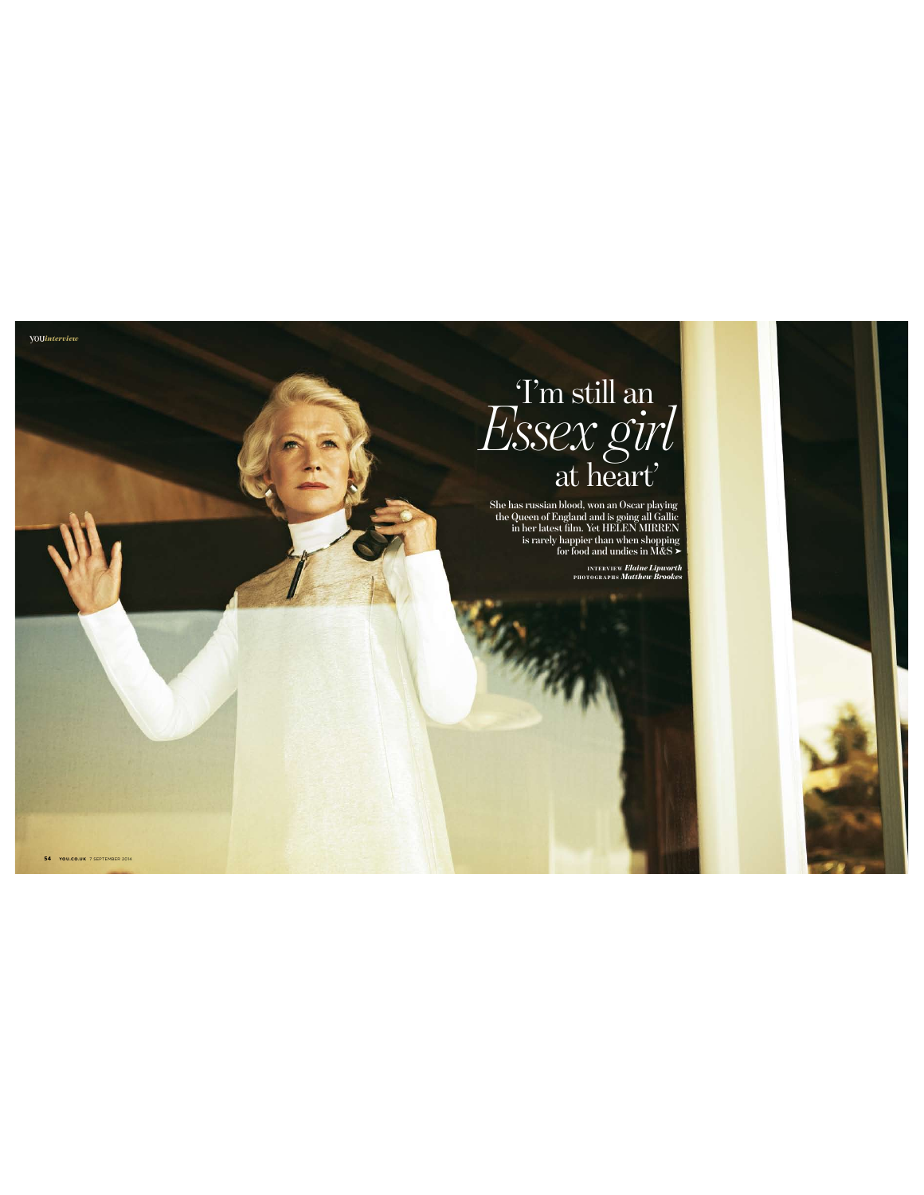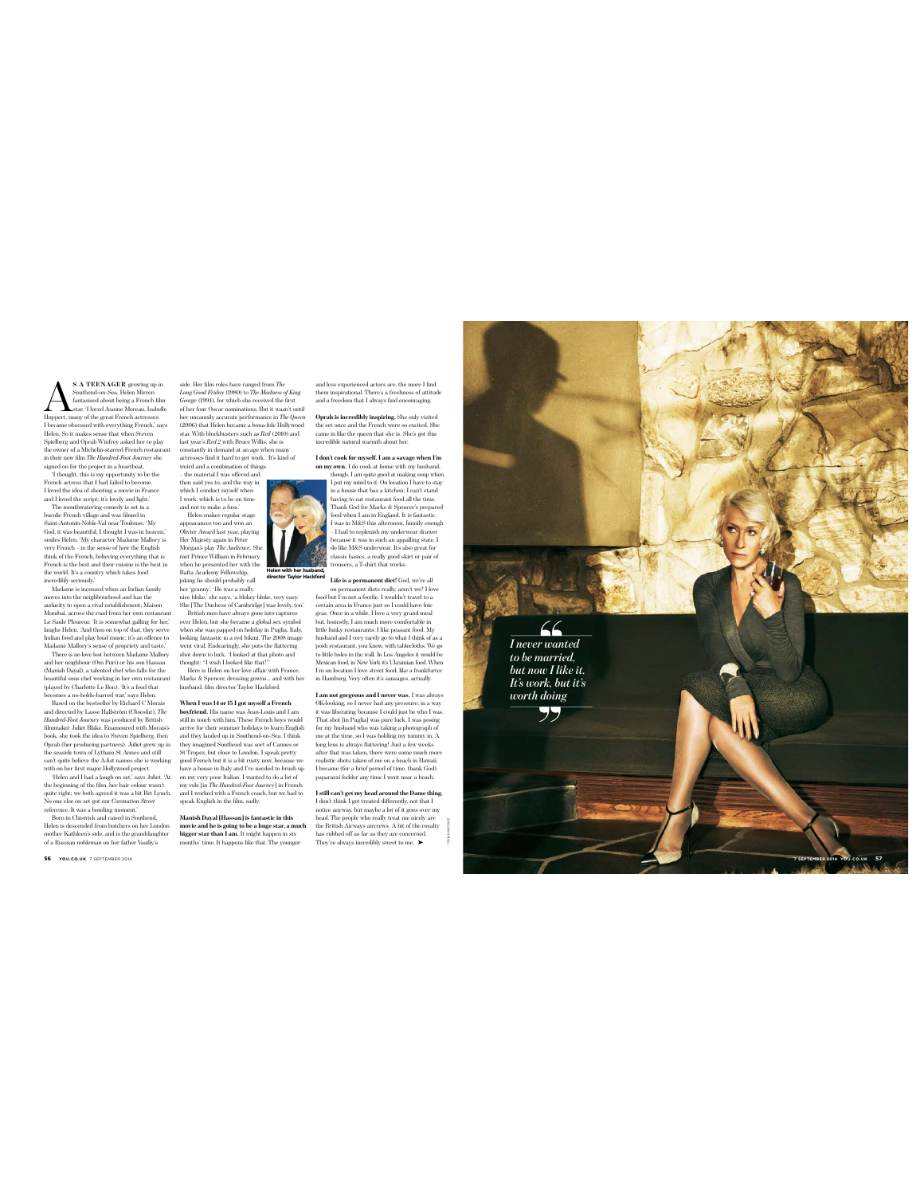**SA TEENAGER** growing up in<br>Southeral-on-Sea, Helen Mirren<br>fantasised about being a French film<br>Huppert, many of the great French actresses. Southend-on-Sea, Helen Mirren fantasised about being a French film  $\label{L1} \textbf{L} \textbf{H} \textbf{S} = \textbf{L}^{\text{start}} \cdot 1 \text{ lower} \text{J} \text{center} \textbf{and normal, Isable} \\ \text{Huppert, many of the great French actresses.} \\ \text{Determine discussed with everything French, says Heisenberg and OpenW University askeel her to play the owner of a Michael-Foren treatment in their new film. The *Imfluchde-Foro barne* the project in a heartbeat. \\ \textbf{H} \textbf{t} \textbf{d} \textbf{y} \textbf{d} \textbf{d} \textbf{d} \textbf{d} \textbf{d} \textbf{f} \textbf{d} \textbf$ 

I loved the idea of shooting a movie in France and I loved the script; it's lovely and light.' The mouthwatering comedy is set in a bucolic French village and was filmed in

Saint-Antonin-Noble-Val near Toulouse. 'My God, it was beautiful, I thought I was in heaven,' smiles Helen. 'My character Madame Mallory is very French – in the sense of how the English think of the French, believing everything that is French is the best and their cuisine is the best in the world. It's a country which takes food incredibly seriously.'

Madame is incensed when an Indian family modes<br>into the neighbourhood and has the anolacity to open a rival establishment, Maison<br>and allows the neighbourhood and establishment, Maison Mumbal, across the road from her own

(Manish Dayal), a talented chef who falls for the beautiful sous chef working in her own restaurant (played by Charlotte Le Bon). 'It's a feud that becomes a no-holds-barred war,' says Helen.

Based on the bestseller by Richard C Morais and directed by Lasse Hallström (*Chocolat*), *The Hundred-Foot Journey* was produced by British filmmaker Juliet Blake. Enamoured with Morais's book, she took the idea to Steven Spielberg, then

Openh (hore producing partners). Juliet grew up in the seaside town of Lytham St Annes and still can't quite believe the A-list names she is working with on her first major Hollywood project.<br>The same of the State and I a

Born in Chiswick and raised in Southend, Helen is descended from butchers on her London mother Kathleen's side, and is the granddaughter of a Russian nobleman on her father Vasiliy's

**56 YOU.CO.UK** 7 SEPTEMBER 2014 **7 SEP**

side. Her film robes have ranged from The Solar<br>Long Cool Fieldy (IS80) to The Mothess of King<br>George (1994), for which she received the first of the four observaturinations. But it was<br>turn that of the four observaturing

which I conduct myself when I work, which is to be on time and not to make a fuss.' Helen makes regular stage appearances too and won an Olivier Award last year, playing Her Majesty again in Peter<br>Morgan's play The Audience. She

**Helen with her husband, director Taylor Hackford**

Morgan's play The Audience. She<br>
Neember and the measure of the most play the play the play the presented her with the<br>
reach person of the present of the same of the state of the present<br>
reach policidary. He was a reali

When I was 14 or 15 I got myself a French<br>boyfriend. His name was Jean-Louis and I am<br>still in touch with him. These French boys would<br>arrive for their summer holidays to learn English<br>and they landed up in Southend-on-Sea they imagined Southend was sort of Cannes or<br>St Tropez, but dose to London. I speak pertity<br>good French but it is a bit rusty now, because we<br>have a house in Italy and I've needed to brush up<br>on my very poor Italian. I va

**Manish Dayal [Hassan] is fantastic in this movie and he is going to be a huge star, a much bigger star than I am.** It might happen in six months' time. It happens like that. The younger and less experienced actors are, the more I find them inspirational. There's a freshness of attitude and a freedom that I always find encouraging.

**Oprah is incredibly inspiring.** She only visited the set once and the French were so excited. She came in like the queen that she is. She's got this incredible natural warmth about her.



 $\bullet$  Life is a permanent diet<br>(  $\rm{cod}_c$  we're all the solution on permanent diets really, are<br>arly well love food but I'm not a foodie. I wouldn't travel to a<br>gras. Once in a while, I love a very grand meal with those<br>st in Hamburg. Very often it's sausages, actually.

I am not gorgeous and I never was . I was always<br>a stay and the search of OK-looking, so I never had any presearce: in a way<br>tivas liberating because I could just be who I was<br>That shot In Pugial) was pure hele. I was pos

**I still can't get my head around the Dame thing.** I don't think I get treated di ferently, not that I notice anyway, but maybe a lot of it goes over my head. The people who really treat me nicely are the British Airways aircrews. A bit of the royalty<br>has rubbed off as far as they are concerned.<br>They're always incredibly sweet to me. ▶